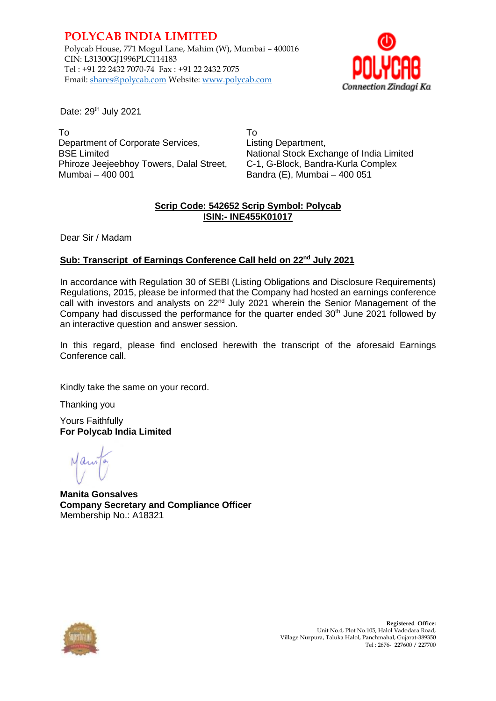**POLYCAB INDIA LIMITED** Polycab House, 771 Mogul Lane, Mahim (W), Mumbai – 400016 CIN: L31300GJ1996PLC114183 Tel : +91 22 2432 7070-74 Fax : +91 22 2432 7075 Email: shares@polycab.com Website: [www.polycab.com](http://www.polycab.com/)



Date: 29<sup>th</sup> July 2021

To Department of Corporate Services, BSE Limited Phiroze Jeejeebhoy Towers, Dalal Street, Mumbai – 400 001

To Listing Department, National Stock Exchange of India Limited C-1, G-Block, Bandra-Kurla Complex Bandra (E), Mumbai – 400 051

### **Scrip Code: 542652 Scrip Symbol: Polycab ISIN:- INE455K01017**

Dear Sir / Madam

### **Sub: Transcript of Earnings Conference Call held on 22nd July 2021**

In accordance with Regulation 30 of SEBI (Listing Obligations and Disclosure Requirements) Regulations, 2015, please be informed that the Company had hosted an earnings conference call with investors and analysts on 22<sup>nd</sup> July 2021 wherein the Senior Management of the Company had discussed the performance for the quarter ended  $30<sup>th</sup>$  June 2021 followed by an interactive question and answer session.

In this regard, please find enclosed herewith the transcript of the aforesaid Earnings Conference call.

Kindly take the same on your record.

Thanking you

Yours Faithfully **For Polycab India Limited**

**Manita Gonsalves Company Secretary and Compliance Officer** Membership No.: A18321

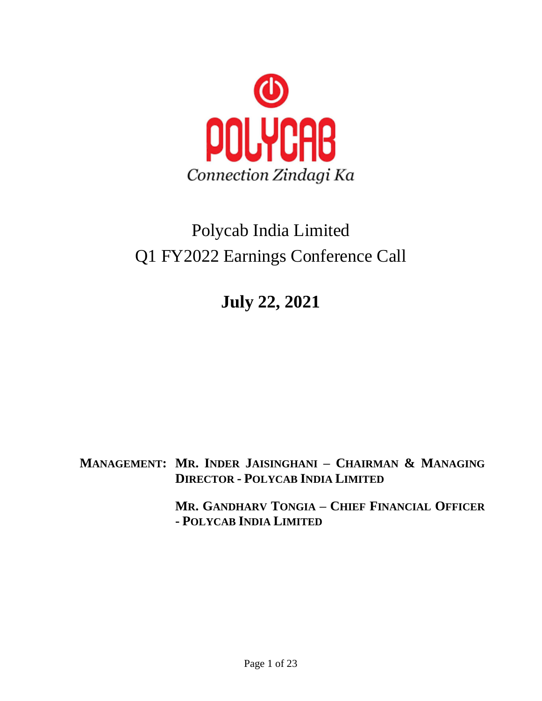

# Polycab India Limited Q1 FY2022 Earnings Conference Call

**July 22, 2021**

**MANAGEMENT: MR. INDER JAISINGHANI – CHAIRMAN & MANAGING DIRECTOR - POLYCAB INDIA LIMITED**

> **MR. GANDHARV TONGIA – CHIEF FINANCIAL OFFICER - POLYCAB INDIA LIMITED**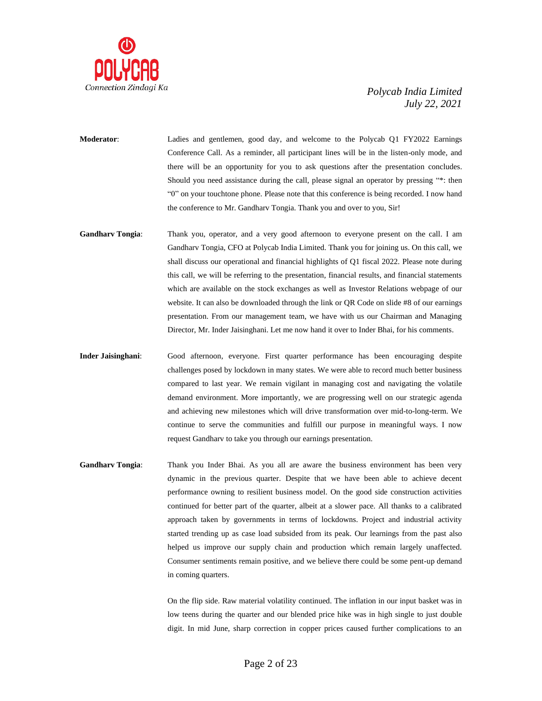

- **Moderator**: Ladies and gentlemen, good day, and welcome to the Polycab Q1 FY2022 Earnings Conference Call. As a reminder, all participant lines will be in the listen-only mode, and there will be an opportunity for you to ask questions after the presentation concludes. Should you need assistance during the call, please signal an operator by pressing "\*: then "0" on your touchtone phone. Please note that this conference is being recorded. I now hand the conference to Mr. Gandharv Tongia. Thank you and over to you, Sir!
- **Gandharv Tongia**: Thank you, operator, and a very good afternoon to everyone present on the call. I am Gandharv Tongia, CFO at Polycab India Limited. Thank you for joining us. On this call, we shall discuss our operational and financial highlights of Q1 fiscal 2022. Please note during this call, we will be referring to the presentation, financial results, and financial statements which are available on the stock exchanges as well as Investor Relations webpage of our website. It can also be downloaded through the link or QR Code on slide #8 of our earnings presentation. From our management team, we have with us our Chairman and Managing Director, Mr. Inder Jaisinghani. Let me now hand it over to Inder Bhai, for his comments.
- **Inder Jaisinghani**: Good afternoon, everyone. First quarter performance has been encouraging despite challenges posed by lockdown in many states. We were able to record much better business compared to last year. We remain vigilant in managing cost and navigating the volatile demand environment. More importantly, we are progressing well on our strategic agenda and achieving new milestones which will drive transformation over mid-to-long-term. We continue to serve the communities and fulfill our purpose in meaningful ways. I now request Gandharv to take you through our earnings presentation.
- **Gandharv Tongia**: Thank you Inder Bhai. As you all are aware the business environment has been very dynamic in the previous quarter. Despite that we have been able to achieve decent performance owning to resilient business model. On the good side construction activities continued for better part of the quarter, albeit at a slower pace. All thanks to a calibrated approach taken by governments in terms of lockdowns. Project and industrial activity started trending up as case load subsided from its peak. Our learnings from the past also helped us improve our supply chain and production which remain largely unaffected. Consumer sentiments remain positive, and we believe there could be some pent-up demand in coming quarters.

On the flip side. Raw material volatility continued. The inflation in our input basket was in low teens during the quarter and our blended price hike was in high single to just double digit. In mid June, sharp correction in copper prices caused further complications to an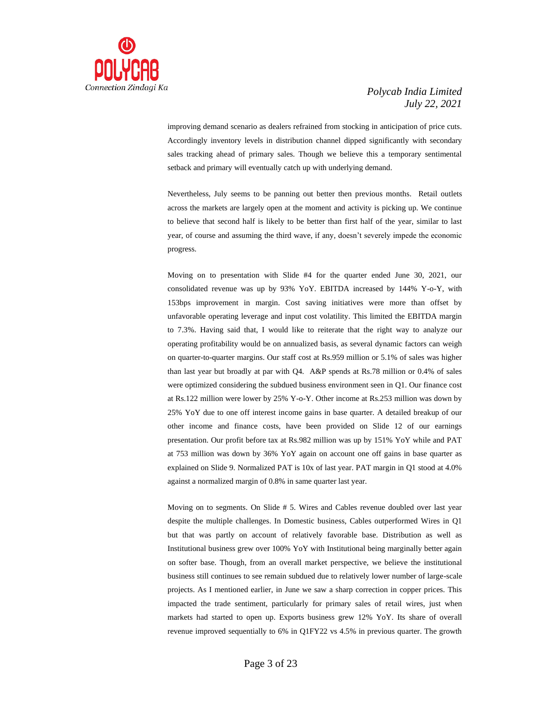

improving demand scenario as dealers refrained from stocking in anticipation of price cuts. Accordingly inventory levels in distribution channel dipped significantly with secondary sales tracking ahead of primary sales. Though we believe this a temporary sentimental setback and primary will eventually catch up with underlying demand.

Nevertheless, July seems to be panning out better then previous months. Retail outlets across the markets are largely open at the moment and activity is picking up. We continue to believe that second half is likely to be better than first half of the year, similar to last year, of course and assuming the third wave, if any, doesn't severely impede the economic progress.

Moving on to presentation with Slide #4 for the quarter ended June 30, 2021, our consolidated revenue was up by 93% YoY. EBITDA increased by 144% Y-o-Y, with 153bps improvement in margin. Cost saving initiatives were more than offset by unfavorable operating leverage and input cost volatility. This limited the EBITDA margin to 7.3%. Having said that, I would like to reiterate that the right way to analyze our operating profitability would be on annualized basis, as several dynamic factors can weigh on quarter-to-quarter margins. Our staff cost at Rs.959 million or 5.1% of sales was higher than last year but broadly at par with Q4. A&P spends at Rs.78 million or 0.4% of sales were optimized considering the subdued business environment seen in Q1. Our finance cost at Rs.122 million were lower by 25% Y-o-Y. Other income at Rs.253 million was down by 25% YoY due to one off interest income gains in base quarter. A detailed breakup of our other income and finance costs, have been provided on Slide 12 of our earnings presentation. Our profit before tax at Rs.982 million was up by 151% YoY while and PAT at 753 million was down by 36% YoY again on account one off gains in base quarter as explained on Slide 9. Normalized PAT is 10x of last year. PAT margin in Q1 stood at 4.0% against a normalized margin of 0.8% in same quarter last year.

Moving on to segments. On Slide # 5. Wires and Cables revenue doubled over last year despite the multiple challenges. In Domestic business, Cables outperformed Wires in Q1 but that was partly on account of relatively favorable base. Distribution as well as Institutional business grew over 100% YoY with Institutional being marginally better again on softer base. Though, from an overall market perspective, we believe the institutional business still continues to see remain subdued due to relatively lower number of large-scale projects. As I mentioned earlier, in June we saw a sharp correction in copper prices. This impacted the trade sentiment, particularly for primary sales of retail wires, just when markets had started to open up. Exports business grew 12% YoY. Its share of overall revenue improved sequentially to 6% in Q1FY22 vs 4.5% in previous quarter. The growth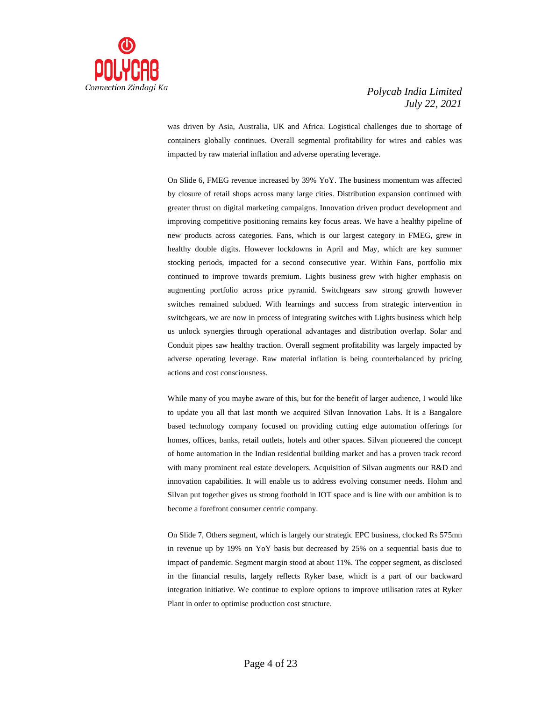

was driven by Asia, Australia, UK and Africa. Logistical challenges due to shortage of containers globally continues. Overall segmental profitability for wires and cables was impacted by raw material inflation and adverse operating leverage.

On Slide 6, FMEG revenue increased by 39% YoY. The business momentum was affected by closure of retail shops across many large cities. Distribution expansion continued with greater thrust on digital marketing campaigns. Innovation driven product development and improving competitive positioning remains key focus areas. We have a healthy pipeline of new products across categories. Fans, which is our largest category in FMEG, grew in healthy double digits. However lockdowns in April and May, which are key summer stocking periods, impacted for a second consecutive year. Within Fans, portfolio mix continued to improve towards premium. Lights business grew with higher emphasis on augmenting portfolio across price pyramid. Switchgears saw strong growth however switches remained subdued. With learnings and success from strategic intervention in switchgears, we are now in process of integrating switches with Lights business which help us unlock synergies through operational advantages and distribution overlap. Solar and Conduit pipes saw healthy traction. Overall segment profitability was largely impacted by adverse operating leverage. Raw material inflation is being counterbalanced by pricing actions and cost consciousness.

While many of you maybe aware of this, but for the benefit of larger audience, I would like to update you all that last month we acquired Silvan Innovation Labs. It is a Bangalore based technology company focused on providing cutting edge automation offerings for homes, offices, banks, retail outlets, hotels and other spaces. Silvan pioneered the concept of home automation in the Indian residential building market and has a proven track record with many prominent real estate developers. Acquisition of Silvan augments our R&D and innovation capabilities. It will enable us to address evolving consumer needs. Hohm and Silvan put together gives us strong foothold in IOT space and is line with our ambition is to become a forefront consumer centric company.

On Slide 7, Others segment, which is largely our strategic EPC business, clocked Rs 575mn in revenue up by 19% on YoY basis but decreased by 25% on a sequential basis due to impact of pandemic. Segment margin stood at about 11%. The copper segment, as disclosed in the financial results, largely reflects Ryker base, which is a part of our backward integration initiative. We continue to explore options to improve utilisation rates at Ryker Plant in order to optimise production cost structure.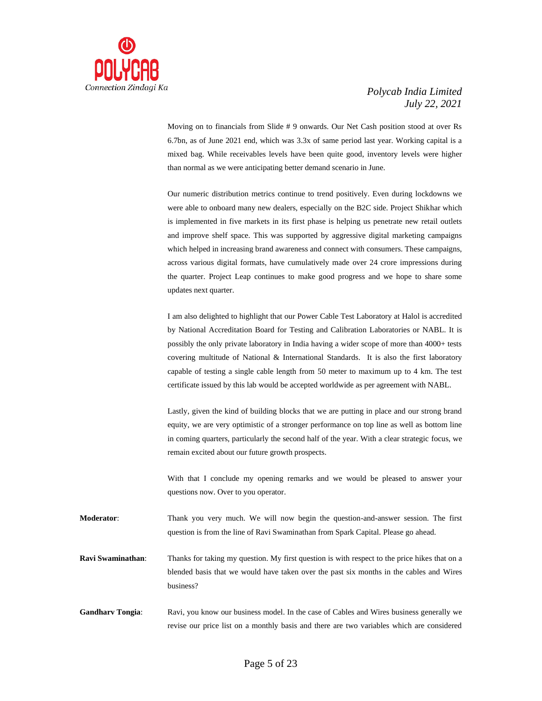

Moving on to financials from Slide # 9 onwards. Our Net Cash position stood at over Rs 6.7bn, as of June 2021 end, which was 3.3x of same period last year. Working capital is a mixed bag. While receivables levels have been quite good, inventory levels were higher than normal as we were anticipating better demand scenario in June.

Our numeric distribution metrics continue to trend positively. Even during lockdowns we were able to onboard many new dealers, especially on the B2C side. Project Shikhar which is implemented in five markets in its first phase is helping us penetrate new retail outlets and improve shelf space. This was supported by aggressive digital marketing campaigns which helped in increasing brand awareness and connect with consumers. These campaigns, across various digital formats, have cumulatively made over 24 crore impressions during the quarter. Project Leap continues to make good progress and we hope to share some updates next quarter.

I am also delighted to highlight that our Power Cable Test Laboratory at Halol is accredited by National Accreditation Board for Testing and Calibration Laboratories or NABL. It is possibly the only private laboratory in India having a wider scope of more than 4000+ tests covering multitude of National & International Standards. It is also the first laboratory capable of testing a single cable length from 50 meter to maximum up to 4 km. The test certificate issued by this lab would be accepted worldwide as per agreement with NABL.

Lastly, given the kind of building blocks that we are putting in place and our strong brand equity, we are very optimistic of a stronger performance on top line as well as bottom line in coming quarters, particularly the second half of the year. With a clear strategic focus, we remain excited about our future growth prospects.

With that I conclude my opening remarks and we would be pleased to answer your questions now. Over to you operator.

**Moderator**: Thank you very much. We will now begin the question-and-answer session. The first question is from the line of Ravi Swaminathan from Spark Capital. Please go ahead.

**Ravi Swaminathan**: Thanks for taking my question. My first question is with respect to the price hikes that on a blended basis that we would have taken over the past six months in the cables and Wires business?

**Gandharv Tongia**: Ravi, you know our business model. In the case of Cables and Wires business generally we revise our price list on a monthly basis and there are two variables which are considered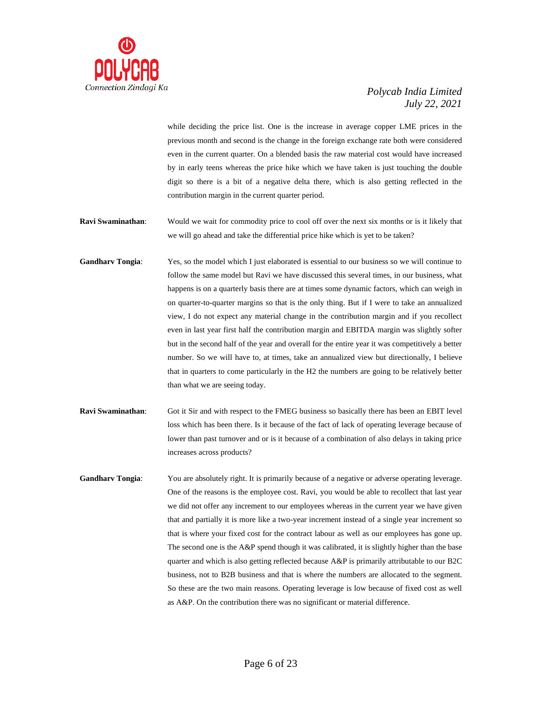

while deciding the price list. One is the increase in average copper LME prices in the previous month and second is the change in the foreign exchange rate both were considered even in the current quarter. On a blended basis the raw material cost would have increased by in early teens whereas the price hike which we have taken is just touching the double digit so there is a bit of a negative delta there, which is also getting reflected in the contribution margin in the current quarter period.

- **Ravi Swaminathan:** Would we wait for commodity price to cool off over the next six months or is it likely that we will go ahead and take the differential price hike which is yet to be taken?
- **Gandharv Tongia**: Yes, so the model which I just elaborated is essential to our business so we will continue to follow the same model but Ravi we have discussed this several times, in our business, what happens is on a quarterly basis there are at times some dynamic factors, which can weigh in on quarter-to-quarter margins so that is the only thing. But if I were to take an annualized view, I do not expect any material change in the contribution margin and if you recollect even in last year first half the contribution margin and EBITDA margin was slightly softer but in the second half of the year and overall for the entire year it was competitively a better number. So we will have to, at times, take an annualized view but directionally, I believe that in quarters to come particularly in the H2 the numbers are going to be relatively better than what we are seeing today.
- **Ravi Swaminathan**: Got it Sir and with respect to the FMEG business so basically there has been an EBIT level loss which has been there. Is it because of the fact of lack of operating leverage because of lower than past turnover and or is it because of a combination of also delays in taking price increases across products?
- **Gandharv Tongia:** You are absolutely right. It is primarily because of a negative or adverse operating leverage. One of the reasons is the employee cost. Ravi, you would be able to recollect that last year we did not offer any increment to our employees whereas in the current year we have given that and partially it is more like a two-year increment instead of a single year increment so that is where your fixed cost for the contract labour as well as our employees has gone up. The second one is the A&P spend though it was calibrated, it is slightly higher than the base quarter and which is also getting reflected because A&P is primarily attributable to our B2C business, not to B2B business and that is where the numbers are allocated to the segment. So these are the two main reasons. Operating leverage is low because of fixed cost as well as A&P. On the contribution there was no significant or material difference.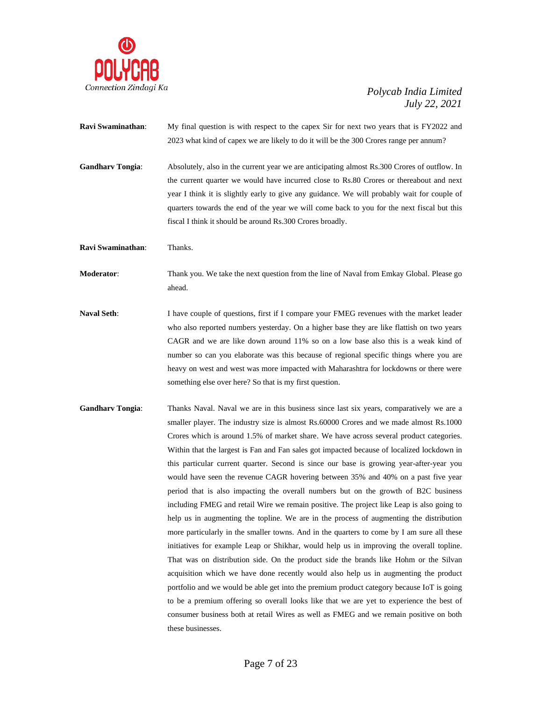

- **Ravi Swaminathan:** My final question is with respect to the capex Sir for next two years that is FY2022 and 2023 what kind of capex we are likely to do it will be the 300 Crores range per annum?
- **Gandharv Tongia**: Absolutely, also in the current year we are anticipating almost Rs.300 Crores of outflow. In the current quarter we would have incurred close to Rs.80 Crores or thereabout and next year I think it is slightly early to give any guidance. We will probably wait for couple of quarters towards the end of the year we will come back to you for the next fiscal but this fiscal I think it should be around Rs.300 Crores broadly.
- **Ravi Swaminathan**: Thanks.

**Moderator**: Thank you. We take the next question from the line of Naval from Emkay Global. Please go ahead.

- Naval Seth: I have couple of questions, first if I compare your FMEG revenues with the market leader who also reported numbers yesterday. On a higher base they are like flattish on two years CAGR and we are like down around 11% so on a low base also this is a weak kind of number so can you elaborate was this because of regional specific things where you are heavy on west and west was more impacted with Maharashtra for lockdowns or there were something else over here? So that is my first question.
- **Gandharv Tongia**: Thanks Naval. Naval we are in this business since last six years, comparatively we are a smaller player. The industry size is almost Rs.60000 Crores and we made almost Rs.1000 Crores which is around 1.5% of market share. We have across several product categories. Within that the largest is Fan and Fan sales got impacted because of localized lockdown in this particular current quarter. Second is since our base is growing year-after-year you would have seen the revenue CAGR hovering between 35% and 40% on a past five year period that is also impacting the overall numbers but on the growth of B2C business including FMEG and retail Wire we remain positive. The project like Leap is also going to help us in augmenting the topline. We are in the process of augmenting the distribution more particularly in the smaller towns. And in the quarters to come by I am sure all these initiatives for example Leap or Shikhar, would help us in improving the overall topline. That was on distribution side. On the product side the brands like Hohm or the Silvan acquisition which we have done recently would also help us in augmenting the product portfolio and we would be able get into the premium product category because IoT is going to be a premium offering so overall looks like that we are yet to experience the best of consumer business both at retail Wires as well as FMEG and we remain positive on both these businesses.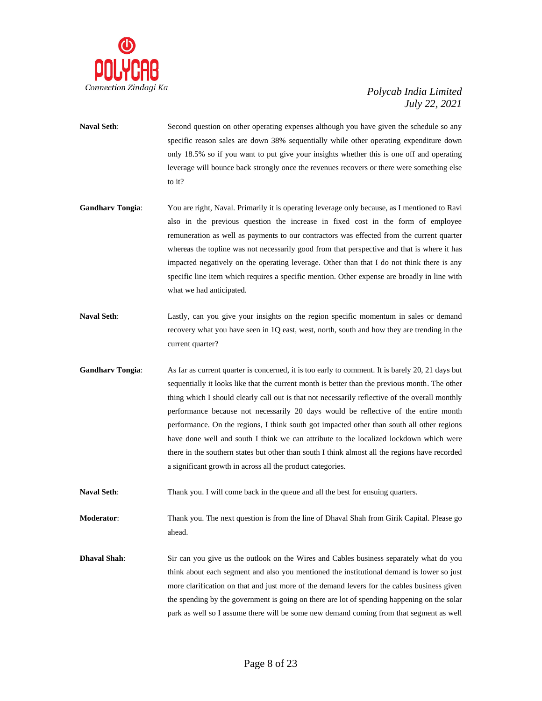

- **Naval Seth**: Second question on other operating expenses although you have given the schedule so any specific reason sales are down 38% sequentially while other operating expenditure down only 18.5% so if you want to put give your insights whether this is one off and operating leverage will bounce back strongly once the revenues recovers or there were something else to it?
- **Gandharv Tongia**: You are right, Naval. Primarily it is operating leverage only because, as I mentioned to Ravi also in the previous question the increase in fixed cost in the form of employee remuneration as well as payments to our contractors was effected from the current quarter whereas the topline was not necessarily good from that perspective and that is where it has impacted negatively on the operating leverage. Other than that I do not think there is any specific line item which requires a specific mention. Other expense are broadly in line with what we had anticipated.
- **Naval Seth**: Lastly, can you give your insights on the region specific momentum in sales or demand recovery what you have seen in 1Q east, west, north, south and how they are trending in the current quarter?
- **Gandharv Tongia**: As far as current quarter is concerned, it is too early to comment. It is barely 20, 21 days but sequentially it looks like that the current month is better than the previous month. The other thing which I should clearly call out is that not necessarily reflective of the overall monthly performance because not necessarily 20 days would be reflective of the entire month performance. On the regions, I think south got impacted other than south all other regions have done well and south I think we can attribute to the localized lockdown which were there in the southern states but other than south I think almost all the regions have recorded a significant growth in across all the product categories.
- **Naval Seth**: Thank you. I will come back in the queue and all the best for ensuing quarters.

**Moderator:** Thank you. The next question is from the line of Dhaval Shah from Girik Capital. Please go ahead.

**Dhaval Shah**: Sir can you give us the outlook on the Wires and Cables business separately what do you think about each segment and also you mentioned the institutional demand is lower so just more clarification on that and just more of the demand levers for the cables business given the spending by the government is going on there are lot of spending happening on the solar park as well so I assume there will be some new demand coming from that segment as well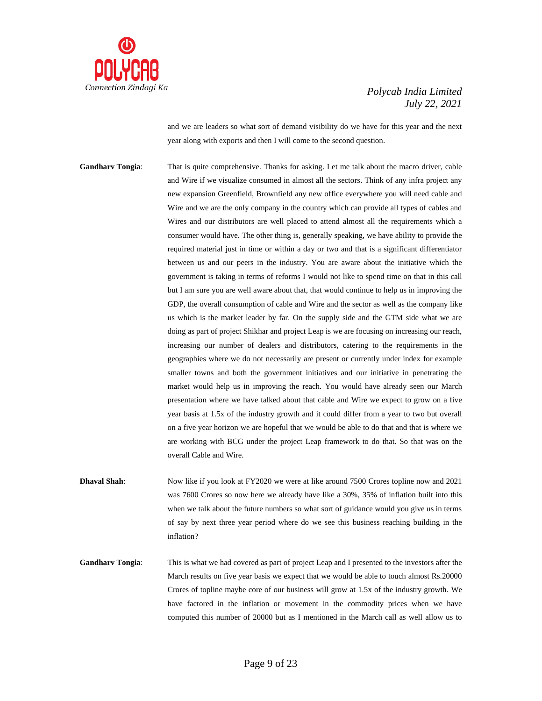

and we are leaders so what sort of demand visibility do we have for this year and the next year along with exports and then I will come to the second question.

**Gandharv Tongia**: That is quite comprehensive. Thanks for asking. Let me talk about the macro driver, cable and Wire if we visualize consumed in almost all the sectors. Think of any infra project any new expansion Greenfield, Brownfield any new office everywhere you will need cable and Wire and we are the only company in the country which can provide all types of cables and Wires and our distributors are well placed to attend almost all the requirements which a consumer would have. The other thing is, generally speaking, we have ability to provide the required material just in time or within a day or two and that is a significant differentiator between us and our peers in the industry. You are aware about the initiative which the government is taking in terms of reforms I would not like to spend time on that in this call but I am sure you are well aware about that, that would continue to help us in improving the GDP, the overall consumption of cable and Wire and the sector as well as the company like us which is the market leader by far. On the supply side and the GTM side what we are doing as part of project Shikhar and project Leap is we are focusing on increasing our reach, increasing our number of dealers and distributors, catering to the requirements in the geographies where we do not necessarily are present or currently under index for example smaller towns and both the government initiatives and our initiative in penetrating the market would help us in improving the reach. You would have already seen our March presentation where we have talked about that cable and Wire we expect to grow on a five year basis at 1.5x of the industry growth and it could differ from a year to two but overall on a five year horizon we are hopeful that we would be able to do that and that is where we are working with BCG under the project Leap framework to do that. So that was on the overall Cable and Wire.

**Dhaval Shah**: Now like if you look at FY2020 we were at like around 7500 Crores topline now and 2021 was 7600 Crores so now here we already have like a 30%, 35% of inflation built into this when we talk about the future numbers so what sort of guidance would you give us in terms of say by next three year period where do we see this business reaching building in the inflation?

**Gandharv Tongia**: This is what we had covered as part of project Leap and I presented to the investors after the March results on five year basis we expect that we would be able to touch almost Rs.20000 Crores of topline maybe core of our business will grow at 1.5x of the industry growth. We have factored in the inflation or movement in the commodity prices when we have computed this number of 20000 but as I mentioned in the March call as well allow us to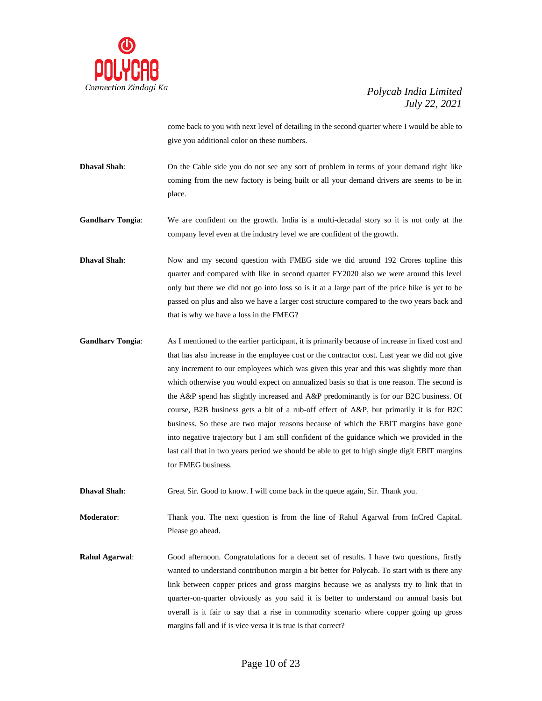

come back to you with next level of detailing in the second quarter where I would be able to give you additional color on these numbers.

**Dhaval Shah**: On the Cable side you do not see any sort of problem in terms of your demand right like coming from the new factory is being built or all your demand drivers are seems to be in place.

**Gandharv Tongia**: We are confident on the growth. India is a multi-decadal story so it is not only at the company level even at the industry level we are confident of the growth.

**Dhaval Shah**: Now and my second question with FMEG side we did around 192 Crores topline this quarter and compared with like in second quarter FY2020 also we were around this level only but there we did not go into loss so is it at a large part of the price hike is yet to be passed on plus and also we have a larger cost structure compared to the two years back and that is why we have a loss in the FMEG?

**Gandharv Tongia**: As I mentioned to the earlier participant, it is primarily because of increase in fixed cost and that has also increase in the employee cost or the contractor cost. Last year we did not give any increment to our employees which was given this year and this was slightly more than which otherwise you would expect on annualized basis so that is one reason. The second is the A&P spend has slightly increased and A&P predominantly is for our B2C business. Of course, B2B business gets a bit of a rub-off effect of A&P, but primarily it is for B2C business. So these are two major reasons because of which the EBIT margins have gone into negative trajectory but I am still confident of the guidance which we provided in the last call that in two years period we should be able to get to high single digit EBIT margins for FMEG business.

**Dhaval Shah**: Great Sir. Good to know. I will come back in the queue again, Sir. Thank you.

**Moderator**: Thank you. The next question is from the line of Rahul Agarwal from InCred Capital. Please go ahead.

**Rahul Agarwal**: Good afternoon. Congratulations for a decent set of results. I have two questions, firstly wanted to understand contribution margin a bit better for Polycab. To start with is there any link between copper prices and gross margins because we as analysts try to link that in quarter-on-quarter obviously as you said it is better to understand on annual basis but overall is it fair to say that a rise in commodity scenario where copper going up gross margins fall and if is vice versa it is true is that correct?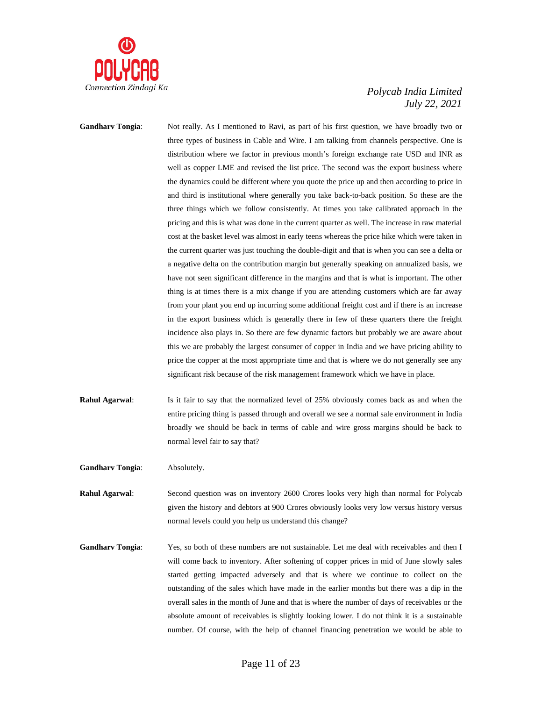

**Gandharv Tongia**: Not really. As I mentioned to Ravi, as part of his first question, we have broadly two or three types of business in Cable and Wire. I am talking from channels perspective. One is distribution where we factor in previous month's foreign exchange rate USD and INR as well as copper LME and revised the list price. The second was the export business where the dynamics could be different where you quote the price up and then according to price in and third is institutional where generally you take back-to-back position. So these are the three things which we follow consistently. At times you take calibrated approach in the pricing and this is what was done in the current quarter as well. The increase in raw material cost at the basket level was almost in early teens whereas the price hike which were taken in the current quarter was just touching the double-digit and that is when you can see a delta or a negative delta on the contribution margin but generally speaking on annualized basis, we have not seen significant difference in the margins and that is what is important. The other thing is at times there is a mix change if you are attending customers which are far away from your plant you end up incurring some additional freight cost and if there is an increase in the export business which is generally there in few of these quarters there the freight incidence also plays in. So there are few dynamic factors but probably we are aware about this we are probably the largest consumer of copper in India and we have pricing ability to price the copper at the most appropriate time and that is where we do not generally see any significant risk because of the risk management framework which we have in place.

- **Rahul Agarwal:** Is it fair to say that the normalized level of 25% obviously comes back as and when the entire pricing thing is passed through and overall we see a normal sale environment in India broadly we should be back in terms of cable and wire gross margins should be back to normal level fair to say that?
- **Gandharv Tongia**: Absolutely.
- **Rahul Agarwal**: Second question was on inventory 2600 Crores looks very high than normal for Polycab given the history and debtors at 900 Crores obviously looks very low versus history versus normal levels could you help us understand this change?
- Gandharv Tongia: Yes, so both of these numbers are not sustainable. Let me deal with receivables and then I will come back to inventory. After softening of copper prices in mid of June slowly sales started getting impacted adversely and that is where we continue to collect on the outstanding of the sales which have made in the earlier months but there was a dip in the overall sales in the month of June and that is where the number of days of receivables or the absolute amount of receivables is slightly looking lower. I do not think it is a sustainable number. Of course, with the help of channel financing penetration we would be able to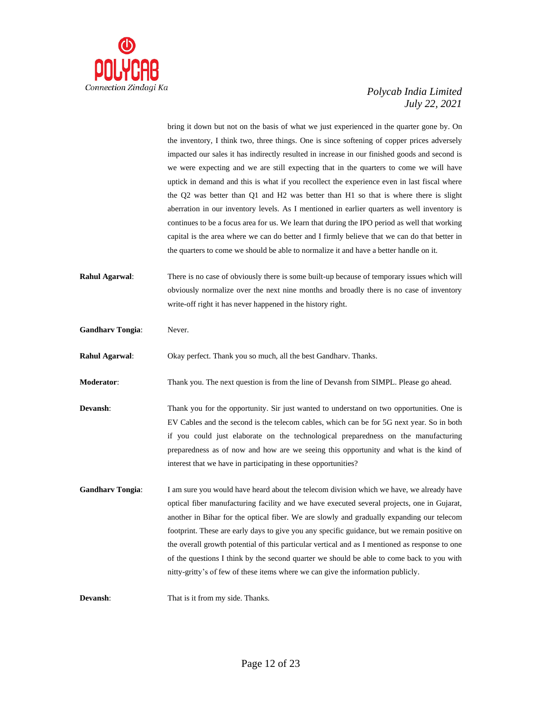

bring it down but not on the basis of what we just experienced in the quarter gone by. On the inventory, I think two, three things. One is since softening of copper prices adversely impacted our sales it has indirectly resulted in increase in our finished goods and second is we were expecting and we are still expecting that in the quarters to come we will have uptick in demand and this is what if you recollect the experience even in last fiscal where the Q2 was better than Q1 and H2 was better than H1 so that is where there is slight aberration in our inventory levels. As I mentioned in earlier quarters as well inventory is continues to be a focus area for us. We learn that during the IPO period as well that working capital is the area where we can do better and I firmly believe that we can do that better in the quarters to come we should be able to normalize it and have a better handle on it.

**Rahul Agarwal**: There is no case of obviously there is some built-up because of temporary issues which will obviously normalize over the next nine months and broadly there is no case of inventory write-off right it has never happened in the history right.

**Gandharv Tongia**: Never.

**Rahul Agarwal**: Okay perfect. Thank you so much, all the best Gandharv. Thanks.

**Moderator**: Thank you. The next question is from the line of Devansh from SIMPL. Please go ahead.

- **Devansh:** Thank you for the opportunity. Sir just wanted to understand on two opportunities. One is EV Cables and the second is the telecom cables, which can be for 5G next year. So in both if you could just elaborate on the technological preparedness on the manufacturing preparedness as of now and how are we seeing this opportunity and what is the kind of interest that we have in participating in these opportunities?
- **Gandharv Tongia**: I am sure you would have heard about the telecom division which we have, we already have optical fiber manufacturing facility and we have executed several projects, one in Gujarat, another in Bihar for the optical fiber. We are slowly and gradually expanding our telecom footprint. These are early days to give you any specific guidance, but we remain positive on the overall growth potential of this particular vertical and as I mentioned as response to one of the questions I think by the second quarter we should be able to come back to you with nitty-gritty's of few of these items where we can give the information publicly.

**Devansh:** That is it from my side. Thanks.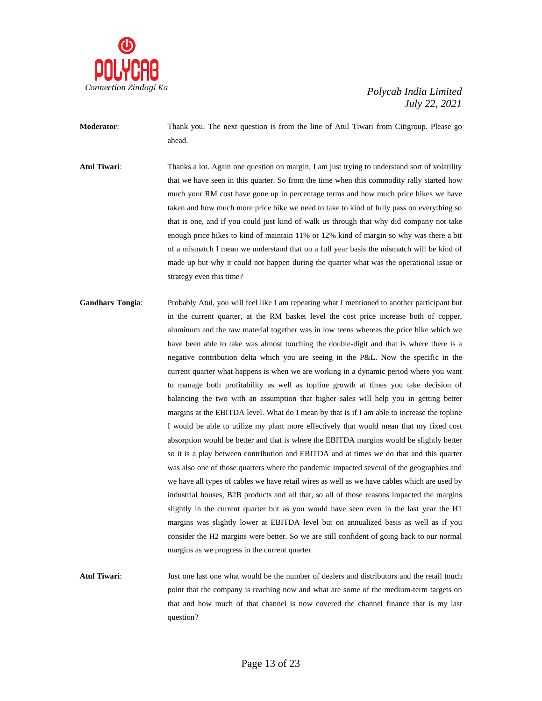

**Moderator**: Thank you. The next question is from the line of Atul Tiwari from Citigroup. Please go ahead.

**Atul Tiwari:** Thanks a lot. Again one question on margin, I am just trying to understand sort of volatility that we have seen in this quarter. So from the time when this commodity rally started how much your RM cost have gone up in percentage terms and how much price hikes we have taken and how much more price hike we need to take to kind of fully pass on everything so that is one, and if you could just kind of walk us through that why did company not take enough price hikes to kind of maintain 11% or 12% kind of margin so why was there a bit of a mismatch I mean we understand that on a full year basis the mismatch will be kind of made up but why it could not happen during the quarter what was the operational issue or strategy even this time?

**Gandharv Tongia**: Probably Atul, you will feel like I am repeating what I mentioned to another participant but in the current quarter, at the RM basket level the cost price increase both of copper, aluminum and the raw material together was in low teens whereas the price hike which we have been able to take was almost touching the double-digit and that is where there is a negative contribution delta which you are seeing in the P&L. Now the specific in the current quarter what happens is when we are working in a dynamic period where you want to manage both profitability as well as topline growth at times you take decision of balancing the two with an assumption that higher sales will help you in getting better margins at the EBITDA level. What do I mean by that is if I am able to increase the topline I would be able to utilize my plant more effectively that would mean that my fixed cost absorption would be better and that is where the EBITDA margins would be slightly better so it is a play between contribution and EBITDA and at times we do that and this quarter was also one of those quarters where the pandemic impacted several of the geographies and we have all types of cables we have retail wires as well as we have cables which are used by industrial houses, B2B products and all that, so all of those reasons impacted the margins slightly in the current quarter but as you would have seen even in the last year the H1 margins was slightly lower at EBITDA level but on annualized basis as well as if you consider the H2 margins were better. So we are still confident of going back to our normal margins as we progress in the current quarter.

**Atul Tiwari**: Just one last one what would be the number of dealers and distributors and the retail touch point that the company is reaching now and what are some of the medium-term targets on that and how much of that channel is now covered the channel finance that is my last question?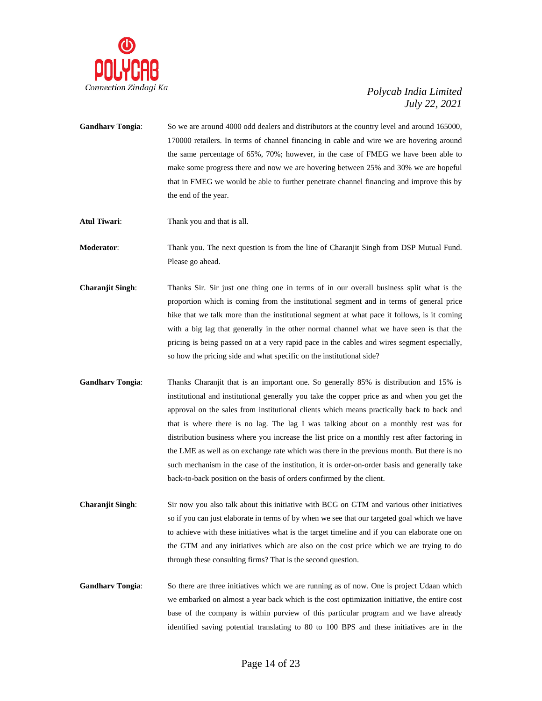

- **Gandharv Tongia**: So we are around 4000 odd dealers and distributors at the country level and around 165000, 170000 retailers. In terms of channel financing in cable and wire we are hovering around the same percentage of 65%, 70%; however, in the case of FMEG we have been able to make some progress there and now we are hovering between 25% and 30% we are hopeful that in FMEG we would be able to further penetrate channel financing and improve this by the end of the year.
- **Atul Tiwari:** Thank you and that is all.

**Moderator**: Thank you. The next question is from the line of Charanjit Singh from DSP Mutual Fund. Please go ahead.

- **Charanjit Singh**: Thanks Sir. Sir just one thing one in terms of in our overall business split what is the proportion which is coming from the institutional segment and in terms of general price hike that we talk more than the institutional segment at what pace it follows, is it coming with a big lag that generally in the other normal channel what we have seen is that the pricing is being passed on at a very rapid pace in the cables and wires segment especially, so how the pricing side and what specific on the institutional side?
- **Gandharv Tongia**: Thanks Charanjit that is an important one. So generally 85% is distribution and 15% is institutional and institutional generally you take the copper price as and when you get the approval on the sales from institutional clients which means practically back to back and that is where there is no lag. The lag I was talking about on a monthly rest was for distribution business where you increase the list price on a monthly rest after factoring in the LME as well as on exchange rate which was there in the previous month. But there is no such mechanism in the case of the institution, it is order-on-order basis and generally take back-to-back position on the basis of orders confirmed by the client.
- **Charanjit Singh**: Sir now you also talk about this initiative with BCG on GTM and various other initiatives so if you can just elaborate in terms of by when we see that our targeted goal which we have to achieve with these initiatives what is the target timeline and if you can elaborate one on the GTM and any initiatives which are also on the cost price which we are trying to do through these consulting firms? That is the second question.
- **Gandharv Tongia**: So there are three initiatives which we are running as of now. One is project Udaan which we embarked on almost a year back which is the cost optimization initiative, the entire cost base of the company is within purview of this particular program and we have already identified saving potential translating to 80 to 100 BPS and these initiatives are in the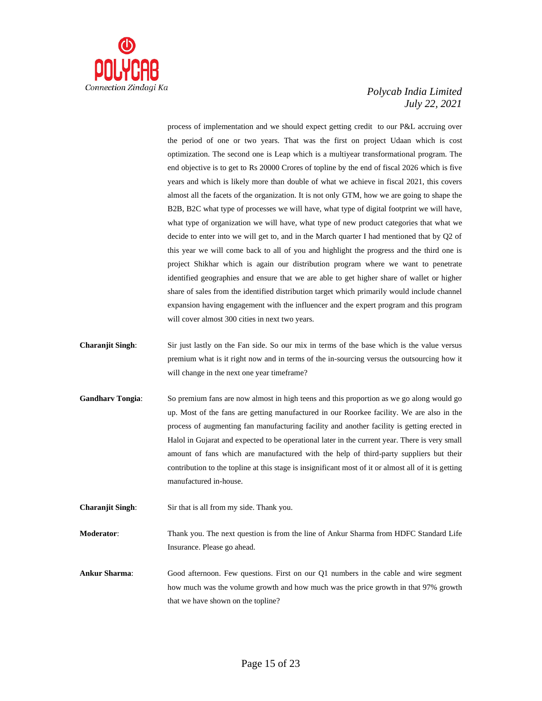

process of implementation and we should expect getting credit to our P&L accruing over the period of one or two years. That was the first on project Udaan which is cost optimization. The second one is Leap which is a multiyear transformational program. The end objective is to get to Rs 20000 Crores of topline by the end of fiscal 2026 which is five years and which is likely more than double of what we achieve in fiscal 2021, this covers almost all the facets of the organization. It is not only GTM, how we are going to shape the B2B, B2C what type of processes we will have, what type of digital footprint we will have, what type of organization we will have, what type of new product categories that what we decide to enter into we will get to, and in the March quarter I had mentioned that by Q2 of this year we will come back to all of you and highlight the progress and the third one is project Shikhar which is again our distribution program where we want to penetrate identified geographies and ensure that we are able to get higher share of wallet or higher share of sales from the identified distribution target which primarily would include channel expansion having engagement with the influencer and the expert program and this program will cover almost 300 cities in next two years.

- **Charanjit Singh**: Sir just lastly on the Fan side. So our mix in terms of the base which is the value versus premium what is it right now and in terms of the in-sourcing versus the outsourcing how it will change in the next one year timeframe?
- **Gandharv Tongia**: So premium fans are now almost in high teens and this proportion as we go along would go up. Most of the fans are getting manufactured in our Roorkee facility. We are also in the process of augmenting fan manufacturing facility and another facility is getting erected in Halol in Gujarat and expected to be operational later in the current year. There is very small amount of fans which are manufactured with the help of third-party suppliers but their contribution to the topline at this stage is insignificant most of it or almost all of it is getting manufactured in-house.

**Charanjit Singh**: Sir that is all from my side. Thank you.

**Moderator**: Thank you. The next question is from the line of Ankur Sharma from HDFC Standard Life Insurance. Please go ahead.

**Ankur Sharma**: Good afternoon. Few questions. First on our Q1 numbers in the cable and wire segment how much was the volume growth and how much was the price growth in that 97% growth that we have shown on the topline?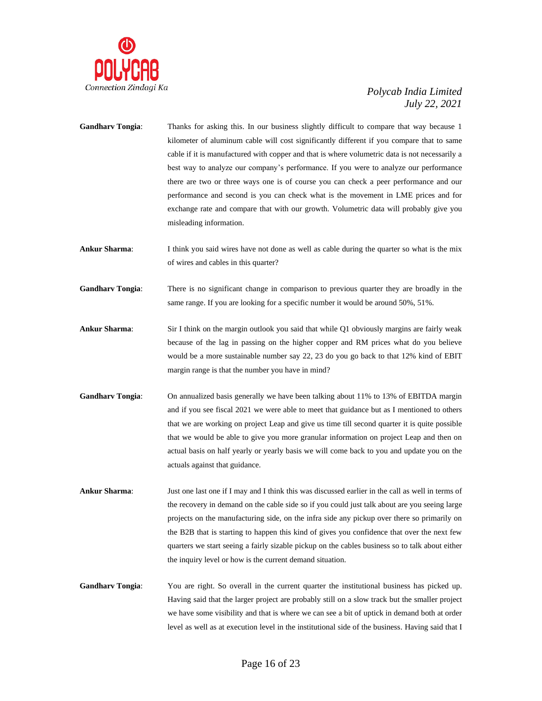

- **Gandharv Tongia**: Thanks for asking this. In our business slightly difficult to compare that way because 1 kilometer of aluminum cable will cost significantly different if you compare that to same cable if it is manufactured with copper and that is where volumetric data is not necessarily a best way to analyze our company's performance. If you were to analyze our performance there are two or three ways one is of course you can check a peer performance and our performance and second is you can check what is the movement in LME prices and for exchange rate and compare that with our growth. Volumetric data will probably give you misleading information.
- **Ankur Sharma**: I think you said wires have not done as well as cable during the quarter so what is the mix of wires and cables in this quarter?
- **Gandharv Tongia**: There is no significant change in comparison to previous quarter they are broadly in the same range. If you are looking for a specific number it would be around 50%, 51%.
- **Ankur Sharma**: Sir I think on the margin outlook you said that while Q1 obviously margins are fairly weak because of the lag in passing on the higher copper and RM prices what do you believe would be a more sustainable number say 22, 23 do you go back to that 12% kind of EBIT margin range is that the number you have in mind?
- **Gandharv Tongia**: On annualized basis generally we have been talking about 11% to 13% of EBITDA margin and if you see fiscal 2021 we were able to meet that guidance but as I mentioned to others that we are working on project Leap and give us time till second quarter it is quite possible that we would be able to give you more granular information on project Leap and then on actual basis on half yearly or yearly basis we will come back to you and update you on the actuals against that guidance.
- **Ankur Sharma**: Just one last one if I may and I think this was discussed earlier in the call as well in terms of the recovery in demand on the cable side so if you could just talk about are you seeing large projects on the manufacturing side, on the infra side any pickup over there so primarily on the B2B that is starting to happen this kind of gives you confidence that over the next few quarters we start seeing a fairly sizable pickup on the cables business so to talk about either the inquiry level or how is the current demand situation.
- **Gandharv Tongia**: You are right. So overall in the current quarter the institutional business has picked up. Having said that the larger project are probably still on a slow track but the smaller project we have some visibility and that is where we can see a bit of uptick in demand both at order level as well as at execution level in the institutional side of the business. Having said that I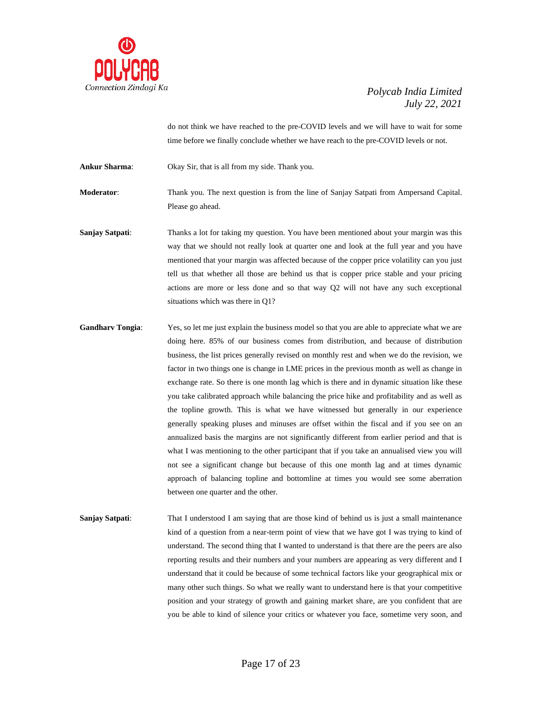

do not think we have reached to the pre-COVID levels and we will have to wait for some time before we finally conclude whether we have reach to the pre-COVID levels or not.

**Ankur Sharma**: Okay Sir, that is all from my side. Thank you.

**Moderator**: Thank you. The next question is from the line of Sanjay Satpati from Ampersand Capital. Please go ahead.

**Sanjay Satpati:** Thanks a lot for taking my question. You have been mentioned about your margin was this way that we should not really look at quarter one and look at the full year and you have mentioned that your margin was affected because of the copper price volatility can you just tell us that whether all those are behind us that is copper price stable and your pricing actions are more or less done and so that way Q2 will not have any such exceptional situations which was there in Q1?

**Gandharv Tongia:** Yes, so let me just explain the business model so that you are able to appreciate what we are doing here. 85% of our business comes from distribution, and because of distribution business, the list prices generally revised on monthly rest and when we do the revision, we factor in two things one is change in LME prices in the previous month as well as change in exchange rate. So there is one month lag which is there and in dynamic situation like these you take calibrated approach while balancing the price hike and profitability and as well as the topline growth. This is what we have witnessed but generally in our experience generally speaking pluses and minuses are offset within the fiscal and if you see on an annualized basis the margins are not significantly different from earlier period and that is what I was mentioning to the other participant that if you take an annualised view you will not see a significant change but because of this one month lag and at times dynamic approach of balancing topline and bottomline at times you would see some aberration between one quarter and the other.

**Sanjay Satpati:** That I understood I am saying that are those kind of behind us is just a small maintenance kind of a question from a near-term point of view that we have got I was trying to kind of understand. The second thing that I wanted to understand is that there are the peers are also reporting results and their numbers and your numbers are appearing as very different and I understand that it could be because of some technical factors like your geographical mix or many other such things. So what we really want to understand here is that your competitive position and your strategy of growth and gaining market share, are you confident that are you be able to kind of silence your critics or whatever you face, sometime very soon, and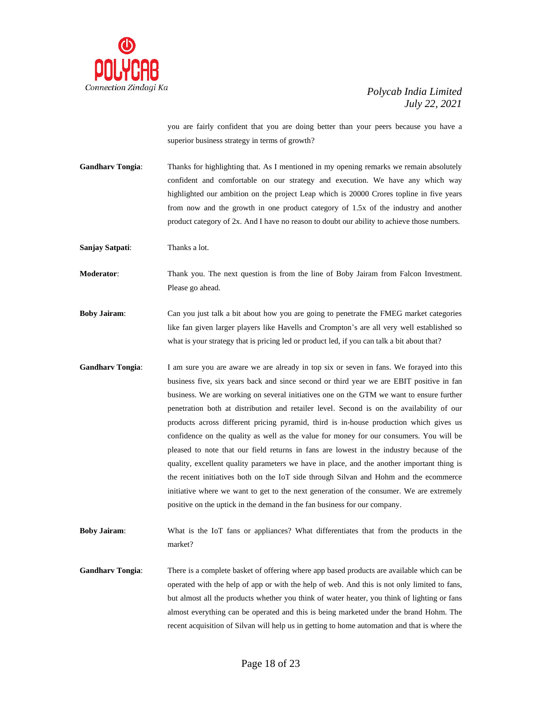

you are fairly confident that you are doing better than your peers because you have a superior business strategy in terms of growth?

**Gandharv Tongia:** Thanks for highlighting that. As I mentioned in my opening remarks we remain absolutely confident and comfortable on our strategy and execution. We have any which way highlighted our ambition on the project Leap which is 20000 Crores topline in five years from now and the growth in one product category of 1.5x of the industry and another product category of 2x. And I have no reason to doubt our ability to achieve those numbers.

**Sanjay Satpati**: Thanks a lot.

**Moderator**: Thank you. The next question is from the line of Boby Jairam from Falcon Investment. Please go ahead.

**Boby Jairam**: Can you just talk a bit about how you are going to penetrate the FMEG market categories like fan given larger players like Havells and Crompton's are all very well established so what is your strategy that is pricing led or product led, if you can talk a bit about that?

**Gandharv Tongia**: I am sure you are aware we are already in top six or seven in fans. We forayed into this business five, six years back and since second or third year we are EBIT positive in fan business. We are working on several initiatives one on the GTM we want to ensure further penetration both at distribution and retailer level. Second is on the availability of our products across different pricing pyramid, third is in-house production which gives us confidence on the quality as well as the value for money for our consumers. You will be pleased to note that our field returns in fans are lowest in the industry because of the quality, excellent quality parameters we have in place, and the another important thing is the recent initiatives both on the IoT side through Silvan and Hohm and the ecommerce initiative where we want to get to the next generation of the consumer. We are extremely positive on the uptick in the demand in the fan business for our company.

**Boby Jairam**: What is the IoT fans or appliances? What differentiates that from the products in the market?

**Gandharv Tongia**: There is a complete basket of offering where app based products are available which can be operated with the help of app or with the help of web. And this is not only limited to fans, but almost all the products whether you think of water heater, you think of lighting or fans almost everything can be operated and this is being marketed under the brand Hohm. The recent acquisition of Silvan will help us in getting to home automation and that is where the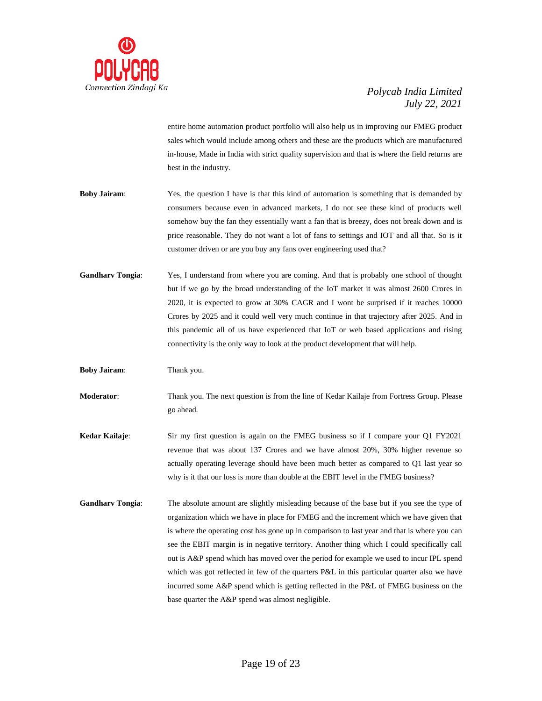

entire home automation product portfolio will also help us in improving our FMEG product sales which would include among others and these are the products which are manufactured in-house, Made in India with strict quality supervision and that is where the field returns are best in the industry.

- **Boby Jairam**: Yes, the question I have is that this kind of automation is something that is demanded by consumers because even in advanced markets, I do not see these kind of products well somehow buy the fan they essentially want a fan that is breezy, does not break down and is price reasonable. They do not want a lot of fans to settings and IOT and all that. So is it customer driven or are you buy any fans over engineering used that?
- **Gandharv Tongia**: Yes, I understand from where you are coming. And that is probably one school of thought but if we go by the broad understanding of the IoT market it was almost 2600 Crores in 2020, it is expected to grow at 30% CAGR and I wont be surprised if it reaches 10000 Crores by 2025 and it could well very much continue in that trajectory after 2025. And in this pandemic all of us have experienced that IoT or web based applications and rising connectivity is the only way to look at the product development that will help.

**Boby Jairam**: Thank you.

**Moderator**: Thank you. The next question is from the line of Kedar Kailaje from Fortress Group. Please go ahead.

- **Kedar Kailaje:** Sir my first question is again on the FMEG business so if I compare your Q1 FY2021 revenue that was about 137 Crores and we have almost 20%, 30% higher revenue so actually operating leverage should have been much better as compared to Q1 last year so why is it that our loss is more than double at the EBIT level in the FMEG business?
- **Gandharv Tongia**: The absolute amount are slightly misleading because of the base but if you see the type of organization which we have in place for FMEG and the increment which we have given that is where the operating cost has gone up in comparison to last year and that is where you can see the EBIT margin is in negative territory. Another thing which I could specifically call out is A&P spend which has moved over the period for example we used to incur IPL spend which was got reflected in few of the quarters P&L in this particular quarter also we have incurred some A&P spend which is getting reflected in the P&L of FMEG business on the base quarter the A&P spend was almost negligible.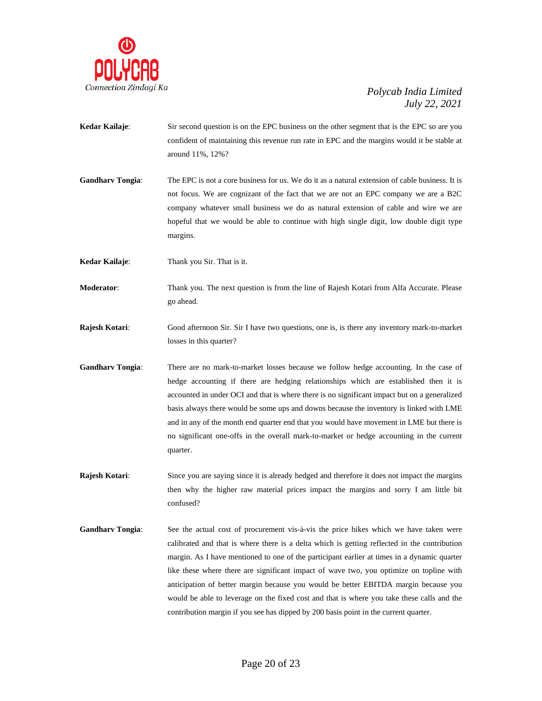

- **Kedar Kailaje:** Sir second question is on the EPC business on the other segment that is the EPC so are you confident of maintaining this revenue run rate in EPC and the margins would it be stable at around 11%, 12%?
- **Gandharv Tongia**: The EPC is not a core business for us. We do it as a natural extension of cable business. It is not focus. We are cognizant of the fact that we are not an EPC company we are a B2C company whatever small business we do as natural extension of cable and wire we are hopeful that we would be able to continue with high single digit, low double digit type margins.

**Kedar Kailaje**: Thank you Sir. That is it.

- **Moderator**: Thank you. The next question is from the line of Rajesh Kotari from Alfa Accurate. Please go ahead.
- **Rajesh Kotari**: Good afternoon Sir. Sir I have two questions, one is, is there any inventory mark-to-market losses in this quarter?
- **Gandharv Tongia**: There are no mark-to-market losses because we follow hedge accounting. In the case of hedge accounting if there are hedging relationships which are established then it is accounted in under OCI and that is where there is no significant impact but on a generalized basis always there would be some ups and downs because the inventory is linked with LME and in any of the month end quarter end that you would have movement in LME but there is no significant one-offs in the overall mark-to-market or hedge accounting in the current quarter.
- **Rajesh Kotari:** Since you are saying since it is already hedged and therefore it does not impact the margins then why the higher raw material prices impact the margins and sorry I am little bit confused?
- **Gandharv Tongia**: See the actual cost of procurement vis-à-vis the price hikes which we have taken were calibrated and that is where there is a delta which is getting reflected in the contribution margin. As I have mentioned to one of the participant earlier at times in a dynamic quarter like these where there are significant impact of wave two, you optimize on topline with anticipation of better margin because you would be better EBITDA margin because you would be able to leverage on the fixed cost and that is where you take these calls and the contribution margin if you see has dipped by 200 basis point in the current quarter.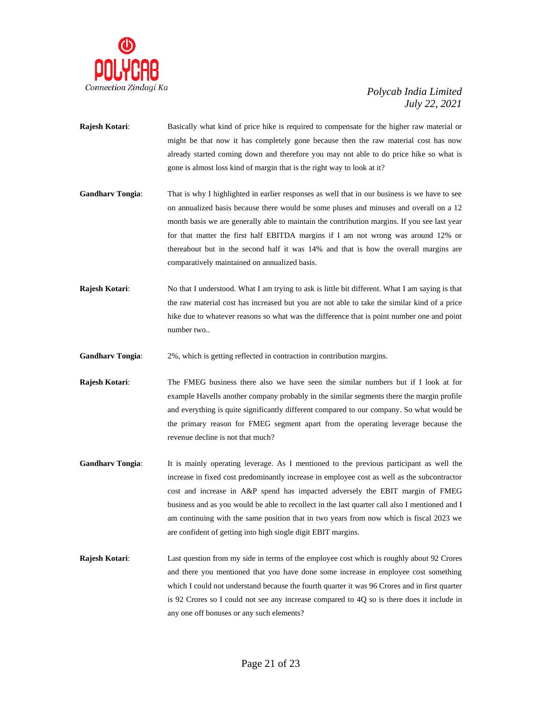

- **Rajesh Kotari**: Basically what kind of price hike is required to compensate for the higher raw material or might be that now it has completely gone because then the raw material cost has now already started coming down and therefore you may not able to do price hike so what is gone is almost loss kind of margin that is the right way to look at it?
- **Gandharv Tongia**: That is why I highlighted in earlier responses as well that in our business is we have to see on annualized basis because there would be some pluses and minuses and overall on a 12 month basis we are generally able to maintain the contribution margins. If you see last year for that matter the first half EBITDA margins if I am not wrong was around 12% or thereabout but in the second half it was 14% and that is how the overall margins are comparatively maintained on annualized basis.
- **Rajesh Kotari:** No that I understood. What I am trying to ask is little bit different. What I am saying is that the raw material cost has increased but you are not able to take the similar kind of a price hike due to whatever reasons so what was the difference that is point number one and point number two..

**Gandharv Tongia:** 2%, which is getting reflected in contraction in contribution margins.

- **Rajesh Kotari:** The FMEG business there also we have seen the similar numbers but if I look at for example Havells another company probably in the similar segments there the margin profile and everything is quite significantly different compared to our company. So what would be the primary reason for FMEG segment apart from the operating leverage because the revenue decline is not that much?
- **Gandharv Tongia**: It is mainly operating leverage. As I mentioned to the previous participant as well the increase in fixed cost predominantly increase in employee cost as well as the subcontractor cost and increase in A&P spend has impacted adversely the EBIT margin of FMEG business and as you would be able to recollect in the last quarter call also I mentioned and I am continuing with the same position that in two years from now which is fiscal 2023 we are confident of getting into high single digit EBIT margins.
- **Rajesh Kotari**: Last question from my side in terms of the employee cost which is roughly about 92 Crores and there you mentioned that you have done some increase in employee cost something which I could not understand because the fourth quarter it was 96 Crores and in first quarter is 92 Crores so I could not see any increase compared to 4Q so is there does it include in any one off bonuses or any such elements?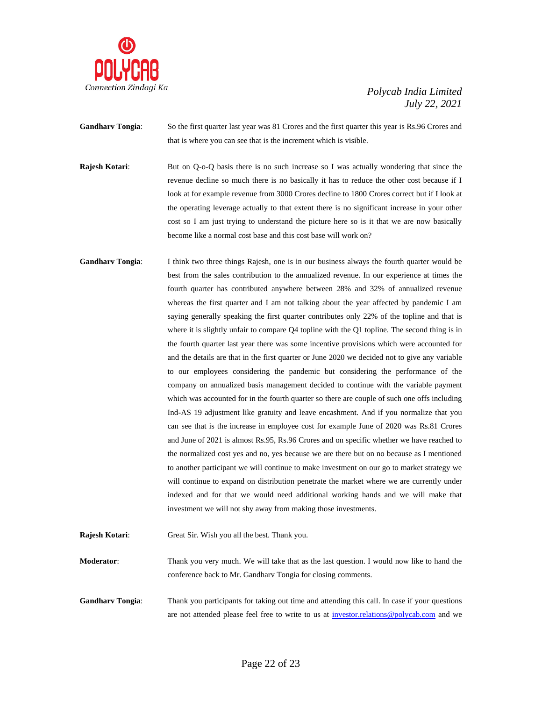

- **Gandharv Tongia**: So the first quarter last year was 81 Crores and the first quarter this year is Rs.96 Crores and that is where you can see that is the increment which is visible.
- **Rajesh Kotari:** But on Q-o-Q basis there is no such increase so I was actually wondering that since the revenue decline so much there is no basically it has to reduce the other cost because if I look at for example revenue from 3000 Crores decline to 1800 Crores correct but if I look at the operating leverage actually to that extent there is no significant increase in your other cost so I am just trying to understand the picture here so is it that we are now basically become like a normal cost base and this cost base will work on?
- **Gandharv Tongia**: I think two three things Rajesh, one is in our business always the fourth quarter would be best from the sales contribution to the annualized revenue. In our experience at times the fourth quarter has contributed anywhere between 28% and 32% of annualized revenue whereas the first quarter and I am not talking about the year affected by pandemic I am saying generally speaking the first quarter contributes only 22% of the topline and that is where it is slightly unfair to compare Q4 topline with the Q1 topline. The second thing is in the fourth quarter last year there was some incentive provisions which were accounted for and the details are that in the first quarter or June 2020 we decided not to give any variable to our employees considering the pandemic but considering the performance of the company on annualized basis management decided to continue with the variable payment which was accounted for in the fourth quarter so there are couple of such one offs including Ind-AS 19 adjustment like gratuity and leave encashment. And if you normalize that you can see that is the increase in employee cost for example June of 2020 was Rs.81 Crores and June of 2021 is almost Rs.95, Rs.96 Crores and on specific whether we have reached to the normalized cost yes and no, yes because we are there but on no because as I mentioned to another participant we will continue to make investment on our go to market strategy we will continue to expand on distribution penetrate the market where we are currently under indexed and for that we would need additional working hands and we will make that investment we will not shy away from making those investments.
- **Rajesh Kotari**: Great Sir. Wish you all the best. Thank you.
- **Moderator**: Thank you very much. We will take that as the last question. I would now like to hand the conference back to Mr. Gandharv Tongia for closing comments.
- **Gandharv Tongia:** Thank you participants for taking out time and attending this call. In case if your questions are not attended please feel free to write to us at [investor.relations@polycab.com](mailto:investor.relations@polycab.com) and we